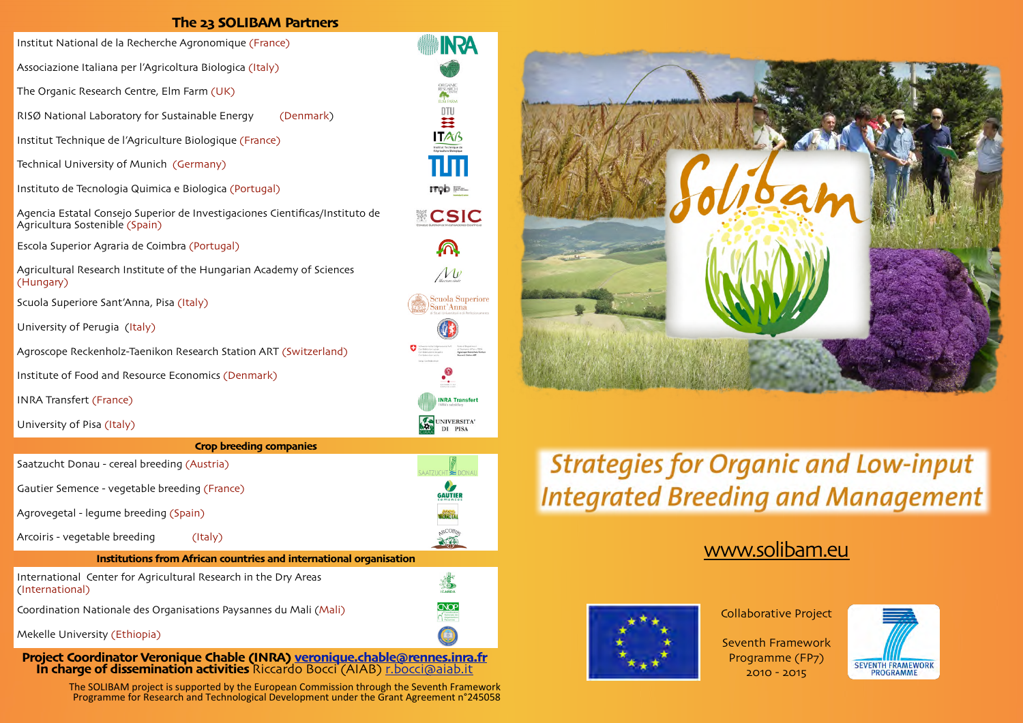### **The 23 SOLIBAM Partners**

**INRA** 

**ANGELIAR** 

**ITOD IF** 

A

 $\Lambda \nu$ 

 $ant' Anna$ 

 $\cdot^\circ$ 

UNIVERSITA' DI PISA

**GAUTIER** 

200

**CNOP**  $\bigcap_{i=1}^{\infty}$ 

**INRA Transfert** 

Institut National de la Recherche Agronomique (France)

Associazione Italiana per l'Agricoltura Biologica (Italy)

The Organic Research Centre, Elm Farm (UK)

RISØ National Laboratory for Sustainable Energy (Denmark)

Institut Technique de l'Agriculture Biologique (France)

Technical University of Munich (Germany)

Instituto de Tecnologia Quimica e Biologica (Portugal)

Agencia Estatal Consejo Superior de Investigaciones Cientificas/Instituto de Agricultura Sostenible (Spain)

Escola Superior Agraria de Coimbra (Portugal)

Agricultural Research Institute of the Hungarian Academy of Sciences (Hungary)

Scuola Superiore Sant'Anna, Pisa (Italy)

University of Perugia (Italy)

Agroscope Reckenholz-Taenikon Research Station ART (Switzerland)

Institute of Food and Resource Economics (Denmark)

INRA Transfert (France)

University of Pisa (Italy)

#### **Crop breeding companies**

Saatzucht Donau - cereal breeding (Austria)

Gautier Semence - vegetable breeding (France)

Agrovegetal - legume breeding (Spain)

Arcoiris - vegetable breeding (Italy)

#### **Institutions from African countries and international organisation**

International Center for Agricultural Research in the Dry Areas (International)

Coordination Nationale des Organisations Paysannes du Mali (Mali)

Mekelle University (Ethiopia)

**Project Coordinator Veronique Chable (INRA) veronique.[chable@rennes](mailto:Veronique.Chable@rennes.inra.fr).inra.fr In charge of dissemination activities** Riccardo Bocci (AIAB) r.[bocci@aiab](mailto:r.bocci@aiab.it).it

> The SOLIBAM project is supported by the European Commission through the Seventh Framework Programme for Research and Technological Development under the Grant Agreement n°245058



# **Strategies for Organic and Low-input Integrated Breeding and Management**

### www.[solibam](http://www.solibam.eu).eu



Collaborative Project

Seventh Framework Programme (FP7) 2010 - 2015